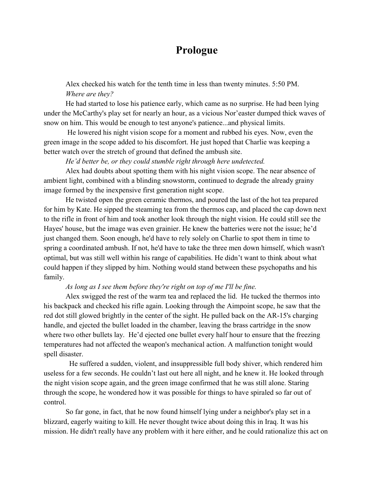# **Prologue**

Alex checked his watch for the tenth time in less than twenty minutes. 5:50 PM. *Where are they?* 

He had started to lose his patience early, which came as no surprise. He had been lying under the McCarthy's play set for nearly an hour, as a vicious Nor'easter dumped thick waves of snow on him. This would be enough to test anyone's patience...and physical limits.

 He lowered his night vision scope for a moment and rubbed his eyes. Now, even the green image in the scope added to his discomfort. He just hoped that Charlie was keeping a better watch over the stretch of ground that defined the ambush site.

# *He'd better be, or they could stumble right through here undetected.*

Alex had doubts about spotting them with his night vision scope. The near absence of ambient light, combined with a blinding snowstorm, continued to degrade the already grainy image formed by the inexpensive first generation night scope.

He twisted open the green ceramic thermos, and poured the last of the hot tea prepared for him by Kate. He sipped the steaming tea from the thermos cap, and placed the cap down next to the rifle in front of him and took another look through the night vision. He could still see the Hayes' house, but the image was even grainier. He knew the batteries were not the issue; he'd just changed them. Soon enough, he'd have to rely solely on Charlie to spot them in time to spring a coordinated ambush. If not, he'd have to take the three men down himself, which wasn't optimal, but was still well within his range of capabilities. He didn't want to think about what could happen if they slipped by him. Nothing would stand between these psychopaths and his family.

## *As long as I see them before they're right on top of me I'll be fine.*

Alex swigged the rest of the warm tea and replaced the lid. He tucked the thermos into his backpack and checked his rifle again. Looking through the Aimpoint scope, he saw that the red dot still glowed brightly in the center of the sight. He pulled back on the AR-15's charging handle, and ejected the bullet loaded in the chamber, leaving the brass cartridge in the snow where two other bullets lay. He'd ejected one bullet every half hour to ensure that the freezing temperatures had not affected the weapon's mechanical action. A malfunction tonight would spell disaster.

 He suffered a sudden, violent, and insuppressible full body shiver, which rendered him useless for a few seconds. He couldn't last out here all night, and he knew it. He looked through the night vision scope again, and the green image confirmed that he was still alone. Staring through the scope, he wondered how it was possible for things to have spiraled so far out of control.

So far gone, in fact, that he now found himself lying under a neighbor's play set in a blizzard, eagerly waiting to kill. He never thought twice about doing this in Iraq. It was his mission. He didn't really have any problem with it here either, and he could rationalize this act on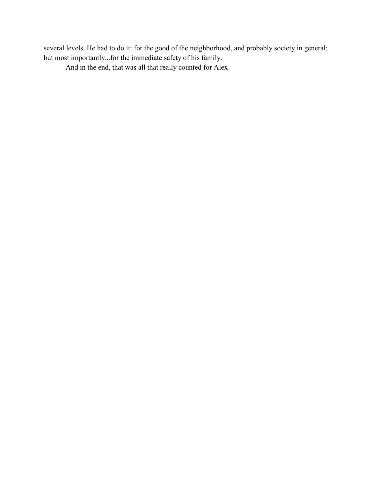several levels. He had to do it: for the good of the neighborhood, and probably society in general; but most importantly...for the immediate safety of his family.

And in the end, that was all that really counted for Alex.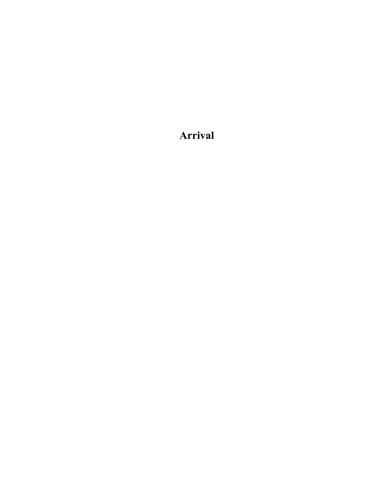**Arrival**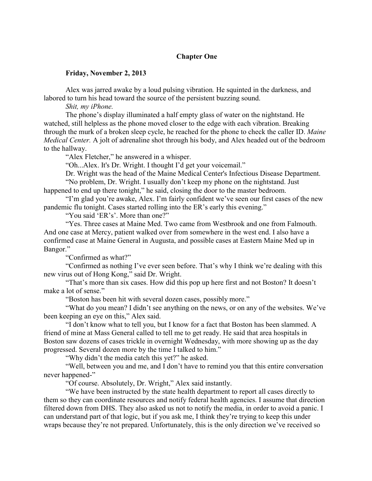# **Chapter One**

## **Friday, November 2, 2013**

Alex was jarred awake by a loud pulsing vibration*.* He squinted in the darkness, and labored to turn his head toward the source of the persistent buzzing sound.

*Shit, my iPhone.* 

The phone's display illuminated a half empty glass of water on the nightstand. He watched, still helpless as the phone moved closer to the edge with each vibration. Breaking through the murk of a broken sleep cycle, he reached for the phone to check the caller ID. *Maine Medical Center.* A jolt of adrenaline shot through his body, and Alex headed out of the bedroom to the hallway.

"Alex Fletcher," he answered in a whisper.

"Oh...Alex. It's Dr. Wright. I thought I'd get your voicemail."

Dr. Wright was the head of the Maine Medical Center's Infectious Disease Department.

"No problem, Dr. Wright. I usually don't keep my phone on the nightstand. Just happened to end up there tonight," he said, closing the door to the master bedroom.

"I'm glad you're awake, Alex. I'm fairly confident we've seen our first cases of the new pandemic flu tonight. Cases started rolling into the ER's early this evening."

"You said 'ER's'. More than one?"

"Yes. Three cases at Maine Med. Two came from Westbrook and one from Falmouth. And one case at Mercy, patient walked over from somewhere in the west end. I also have a confirmed case at Maine General in Augusta, and possible cases at Eastern Maine Med up in Bangor."

"Confirmed as what?"

"Confirmed as nothing I've ever seen before. That's why I think we're dealing with this new virus out of Hong Kong," said Dr. Wright.

"That's more than six cases. How did this pop up here first and not Boston? It doesn't make a lot of sense."

"Boston has been hit with several dozen cases, possibly more."

"What do you mean? I didn't see anything on the news, or on any of the websites. We've been keeping an eye on this," Alex said.

"I don't know what to tell you, but I know for a fact that Boston has been slammed. A friend of mine at Mass General called to tell me to get ready. He said that area hospitals in Boston saw dozens of cases trickle in overnight Wednesday, with more showing up as the day progressed. Several dozen more by the time I talked to him."

"Why didn't the media catch this yet?" he asked.

"Well, between you and me, and I don't have to remind you that this entire conversation never happened-"

"Of course. Absolutely, Dr. Wright," Alex said instantly.

"We have been instructed by the state health department to report all cases directly to them so they can coordinate resources and notify federal health agencies. I assume that direction filtered down from DHS. They also asked us not to notify the media, in order to avoid a panic. I can understand part of that logic, but if you ask me, I think they're trying to keep this under wraps because they're not prepared. Unfortunately, this is the only direction we've received so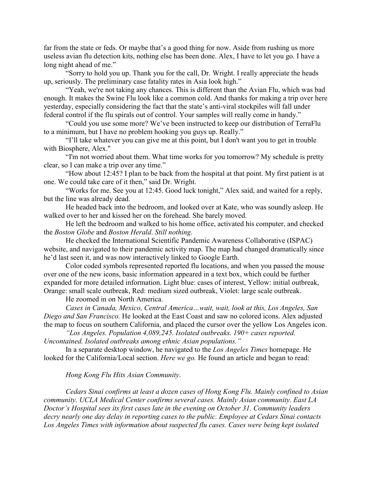far from the state or feds. Or maybe that's a good thing for now. Aside from rushing us more useless avian flu detection kits, nothing else has been done. Alex, I have to let you go. I have a long night ahead of me."

"Sorry to hold you up. Thank you for the call, Dr. Wright. I really appreciate the heads up, seriously. The preliminary case fatality rates in Asia look high."

"Yeah, we're not taking any chances. This is different than the Avian Flu, which was bad enough. It makes the Swine Flu look like a common cold. And thanks for making a trip over here yesterday, especially considering the fact that the state's anti-viral stockpiles will fall under federal control if the flu spirals out of control. Your samples will really come in handy."

"Could you use some more? We've been instructed to keep our distribution of TerraFlu to a minimum, but I have no problem hooking you guys up. Really."

"I'll take whatever you can give me at this point, but I don't want you to get in trouble with Biosphere, Alex."

"I'm not worried about them. What time works for you tomorrow? My schedule is pretty clear, so I can make a trip over any time."

"How about 12:45? I plan to be back from the hospital at that point. My first patient is at one. We could take care of it then," said Dr. Wright.

"Works for me. See you at 12:45. Good luck tonight," Alex said, and waited for a reply, but the line was already dead.

He headed back into the bedroom, and looked over at Kate, who was soundly asleep. He walked over to her and kissed her on the forehead. She barely moved.

He left the bedroom and walked to his home office, activated his computer, and checked the *Boston Globe* and *Boston Herald*. *Still nothing.* 

He checked the International Scientific Pandemic Awareness Collaborative (ISPAC) website, and navigated to their pandemic activity map. The map had changed dramatically since he'd last seen it, and was now interactively linked to Google Earth.

Color coded symbols represented reported flu locations, and when you passed the mouse over one of the new icons, basic information appeared in a text box, which could be further expanded for more detailed information. Light blue: cases of interest, Yellow: initial outbreak, Orange: small scale outbreak, Red: medium sized outbreak, Violet: large scale outbreak.

# He zoomed in on North America.

*Cases in Canada, Mexico, Central America…wait, wait, look at this, Los Angeles, San Diego and San Francisco.* He looked at the East Coast and saw no colored icons. Alex adjusted the map to focus on southern California, and placed the cursor over the yellow Los Angeles icon.

*"Los Angeles. Population 4,089,245. Isolated outbreaks. 190+ cases reported. Uncontained. Isolated outbreaks among ethnic Asian populations."* 

In a separate desktop window, he navigated to the *Los Angeles Times* homepage. He looked for the California/Local section. *Here we go*. He found an article and began to read:

# *Hong Kong Flu Hits Asian Community*.

*Cedars Sinai confirms at least a dozen cases of Hong Kong Flu. Mainly confined to Asian community. UCLA Medical Center confirms several cases. Mainly Asian community. East LA Doctor's Hospital sees its first cases late in the evening on October 31. Community leaders decry nearly one day delay in reporting cases to the public. Employee at Cedars Sinai contacts Los Angeles Times with information about suspected flu cases. Cases were being kept isolated*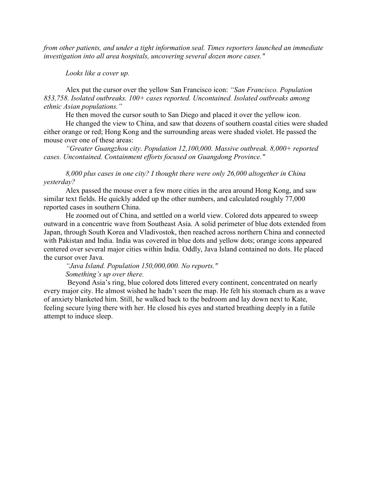*from other patients, and under a tight information seal. Times reporters launched an immediate investigation into all area hospitals, uncovering several dozen more cases."* 

*Looks like a cover up.* 

Alex put the cursor over the yellow San Francisco icon: *"San Francisco. Population 853,758. Isolated outbreaks. 100+ cases reported. Uncontained. Isolated outbreaks among ethnic Asian populations."* 

He then moved the cursor south to San Diego and placed it over the yellow icon.

He changed the view to China, and saw that dozens of southern coastal cities were shaded either orange or red; Hong Kong and the surrounding areas were shaded violet. He passed the mouse over one of these areas:

*"Greater Guangzhou city. Population 12,100,000. Massive outbreak. 8,000+ reported cases. Uncontained. Containment efforts focused on Guangdong Province."* 

*8,000 plus cases in one city? I thought there were only 26,000 altogether in China yesterday?* 

Alex passed the mouse over a few more cities in the area around Hong Kong, and saw similar text fields. He quickly added up the other numbers, and calculated roughly 77,000 reported cases in southern China.

He zoomed out of China, and settled on a world view. Colored dots appeared to sweep outward in a concentric wave from Southeast Asia. A solid perimeter of blue dots extended from Japan, through South Korea and Vladivostok, then reached across northern China and connected with Pakistan and India. India was covered in blue dots and yellow dots; orange icons appeared centered over several major cities within India. Oddly, Java Island contained no dots. He placed the cursor over Java.

*"Java Island. Population 150,000,000. No reports." Something's up over there.*

 Beyond Asia's ring, blue colored dots littered every continent, concentrated on nearly every major city. He almost wished he hadn't seen the map. He felt his stomach churn as a wave of anxiety blanketed him. Still, he walked back to the bedroom and lay down next to Kate, feeling secure lying there with her. He closed his eyes and started breathing deeply in a futile attempt to induce sleep.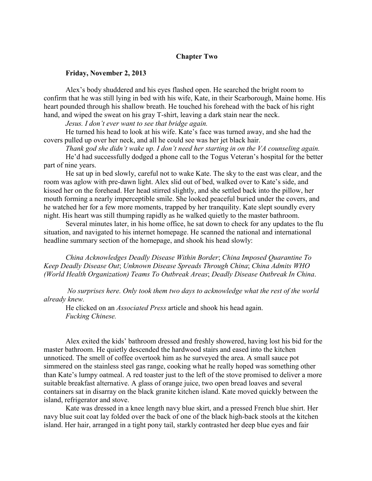# **Chapter Two**

#### **Friday, November 2, 2013**

Alex's body shuddered and his eyes flashed open. He searched the bright room to confirm that he was still lying in bed with his wife, Kate, in their Scarborough, Maine home. His heart pounded through his shallow breath. He touched his forehead with the back of his right hand, and wiped the sweat on his gray T-shirt, leaving a dark stain near the neck.

*Jesus. I don't ever want to see that bridge again.*

He turned his head to look at his wife. Kate's face was turned away, and she had the covers pulled up over her neck, and all he could see was her jet black hair.

*Thank god she didn't wake up. I don't need her starting in on the VA counseling again.*  He'd had successfully dodged a phone call to the Togus Veteran's hospital for the better part of nine years.

He sat up in bed slowly, careful not to wake Kate. The sky to the east was clear, and the room was aglow with pre-dawn light. Alex slid out of bed, walked over to Kate's side, and kissed her on the forehead. Her head stirred slightly, and she settled back into the pillow, her mouth forming a nearly imperceptible smile. She looked peaceful buried under the covers, and he watched her for a few more moments, trapped by her tranquility. Kate slept soundly every night. His heart was still thumping rapidly as he walked quietly to the master bathroom.

Several minutes later, in his home office, he sat down to check for any updates to the flu situation, and navigated to his internet homepage. He scanned the national and international headline summary section of the homepage, and shook his head slowly:

*China Acknowledges Deadly Disease Within Border*; *China Imposed Quarantine To Keep Deadly Disease Out*; *Unknown Disease Spreads Through China*; *China Admits WHO (World Health Organization) Teams To Outbreak Areas*; *Deadly Disease Outbreak In China*.

*No surprises here. Only took them two days to acknowledge what the rest of the world already knew.* 

He clicked on an *Associated Press* article and shook his head again. *Fucking Chinese.*

Alex exited the kids' bathroom dressed and freshly showered, having lost his bid for the master bathroom. He quietly descended the hardwood stairs and eased into the kitchen unnoticed. The smell of coffee overtook him as he surveyed the area. A small sauce pot simmered on the stainless steel gas range, cooking what he really hoped was something other than Kate's lumpy oatmeal. A red toaster just to the left of the stove promised to deliver a more suitable breakfast alternative. A glass of orange juice, two open bread loaves and several containers sat in disarray on the black granite kitchen island. Kate moved quickly between the island, refrigerator and stove.

Kate was dressed in a knee length navy blue skirt, and a pressed French blue shirt. Her navy blue suit coat lay folded over the back of one of the black high-back stools at the kitchen island. Her hair, arranged in a tight pony tail, starkly contrasted her deep blue eyes and fair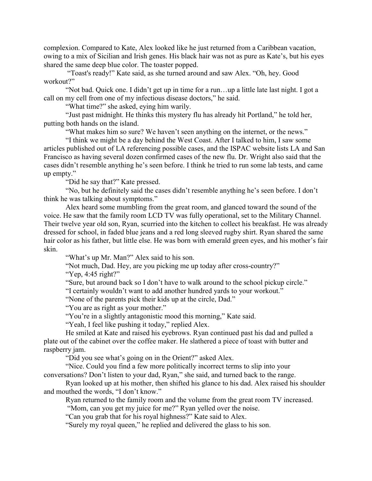complexion. Compared to Kate, Alex looked like he just returned from a Caribbean vacation, owing to a mix of Sicilian and Irish genes. His black hair was not as pure as Kate's, but his eyes shared the same deep blue color. The toaster popped.

 "Toast's ready!" Kate said, as she turned around and saw Alex. "Oh, hey. Good workout?"

"Not bad. Quick one. I didn't get up in time for a run…up a little late last night. I got a call on my cell from one of my infectious disease doctors," he said.

"What time?" she asked, eying him warily.

"Just past midnight. He thinks this mystery flu has already hit Portland," he told her, putting both hands on the island.

"What makes him so sure? We haven't seen anything on the internet, or the news."

"I think we might be a day behind the West Coast. After I talked to him, I saw some articles published out of LA referencing possible cases, and the ISPAC website lists LA and San Francisco as having several dozen confirmed cases of the new flu. Dr. Wright also said that the cases didn't resemble anything he's seen before. I think he tried to run some lab tests, and came up empty."

"Did he say that?" Kate pressed.

"No, but he definitely said the cases didn't resemble anything he's seen before. I don't think he was talking about symptoms."

Alex heard some mumbling from the great room, and glanced toward the sound of the voice. He saw that the family room LCD TV was fully operational, set to the Military Channel. Their twelve year old son, Ryan, scurried into the kitchen to collect his breakfast. He was already dressed for school, in faded blue jeans and a red long sleeved rugby shirt. Ryan shared the same hair color as his father, but little else. He was born with emerald green eyes, and his mother's fair skin.

"What's up Mr. Man?" Alex said to his son.

"Not much, Dad. Hey, are you picking me up today after cross-country?"

"Yep, 4:45 right?"

"Sure, but around back so I don't have to walk around to the school pickup circle."

"I certainly wouldn't want to add another hundred yards to your workout."

"None of the parents pick their kids up at the circle, Dad."

"You are as right as your mother."

"You're in a slightly antagonistic mood this morning," Kate said.

"Yeah, I feel like pushing it today," replied Alex.

He smiled at Kate and raised his eyebrows. Ryan continued past his dad and pulled a plate out of the cabinet over the coffee maker. He slathered a piece of toast with butter and raspberry jam.

"Did you see what's going on in the Orient?" asked Alex.

"Nice. Could you find a few more politically incorrect terms to slip into your conversations? Don't listen to your dad, Ryan," she said, and turned back to the range.

Ryan looked up at his mother, then shifted his glance to his dad. Alex raised his shoulder and mouthed the words, "I don't know."

Ryan returned to the family room and the volume from the great room TV increased.

"Mom, can you get my juice for me?" Ryan yelled over the noise.

"Can you grab that for his royal highness?" Kate said to Alex.

"Surely my royal queen," he replied and delivered the glass to his son.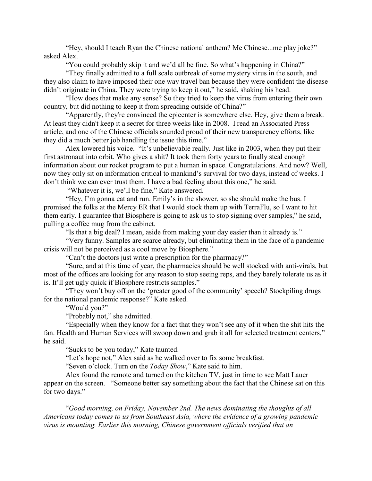"Hey, should I teach Ryan the Chinese national anthem? Me Chinese...me play joke?" asked Alex.

"You could probably skip it and we'd all be fine. So what's happening in China?"

"They finally admitted to a full scale outbreak of some mystery virus in the south, and they also claim to have imposed their one way travel ban because they were confident the disease didn't originate in China. They were trying to keep it out," he said, shaking his head.

"How does that make any sense? So they tried to keep the virus from entering their own country, but did nothing to keep it from spreading outside of China?"

"Apparently, they're convinced the epicenter is somewhere else. Hey, give them a break. At least they didn't keep it a secret for three weeks like in 2008. I read an Associated Press article, and one of the Chinese officials sounded proud of their new transparency efforts, like they did a much better job handling the issue this time."

Alex lowered his voice. "It's unbelievable really. Just like in 2003, when they put their first astronaut into orbit. Who gives a shit? It took them forty years to finally steal enough information about our rocket program to put a human in space. Congratulations. And now? Well, now they only sit on information critical to mankind's survival for two days, instead of weeks. I don't think we can ever trust them. I have a bad feeling about this one," he said.

"Whatever it is, we'll be fine," Kate answered.

"Hey, I'm gonna eat and run. Emily's in the shower, so she should make the bus. I promised the folks at the Mercy ER that I would stock them up with TerraFlu, so I want to hit them early. I guarantee that Biosphere is going to ask us to stop signing over samples," he said, pulling a coffee mug from the cabinet.

"Is that a big deal? I mean, aside from making your day easier than it already is."

"Very funny. Samples are scarce already, but eliminating them in the face of a pandemic crisis will not be perceived as a cool move by Biosphere."

"Can't the doctors just write a prescription for the pharmacy?"

"Sure, and at this time of year, the pharmacies should be well stocked with anti-virals, but most of the offices are looking for any reason to stop seeing reps, and they barely tolerate us as it is. It'll get ugly quick if Biosphere restricts samples."

"They won't buy off on the 'greater good of the community' speech? Stockpiling drugs for the national pandemic response?" Kate asked.

"Would you?"

"Probably not," she admitted.

"Especially when they know for a fact that they won't see any of it when the shit hits the fan. Health and Human Services will swoop down and grab it all for selected treatment centers," he said.

"Sucks to be you today," Kate taunted.

"Let's hope not," Alex said as he walked over to fix some breakfast.

"Seven o'clock. Turn on the *Today Show*," Kate said to him.

Alex found the remote and turned on the kitchen TV, just in time to see Matt Lauer appear on the screen. "Someone better say something about the fact that the Chinese sat on this for two days."

"*Good morning, on Friday, November 2nd. The news dominating the thoughts of all Americans today comes to us from Southeast Asia, where the evidence of a growing pandemic virus is mounting. Earlier this morning, Chinese government officials verified that an*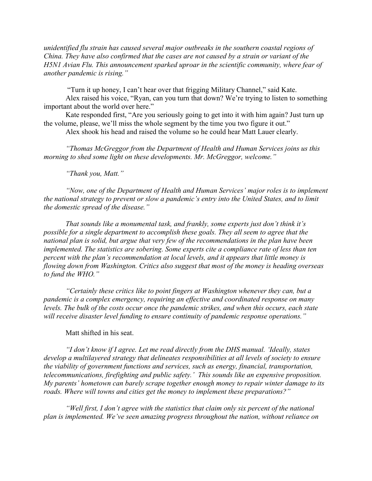*unidentified flu strain has caused several major outbreaks in the southern coastal regions of China. They have also confirmed that the cases are not caused by a strain or variant of the H5N1 Avian Flu. This announcement sparked uproar in the scientific community, where fear of another pandemic is rising."* 

"Turn it up honey, I can't hear over that frigging Military Channel," said Kate.

Alex raised his voice, "Ryan, can you turn that down? We're trying to listen to something important about the world over here."

Kate responded first, "Are you seriously going to get into it with him again? Just turn up the volume, please, we'll miss the whole segment by the time you two figure it out."

Alex shook his head and raised the volume so he could hear Matt Lauer clearly.

*"Thomas McGreggor from the Department of Health and Human Services joins us this morning to shed some light on these developments. Mr. McGreggor, welcome."* 

*"Thank you, Matt."* 

*"Now, one of the Department of Health and Human Services' major roles is to implement the national strategy to prevent or slow a pandemic's entry into the United States, and to limit the domestic spread of the disease."* 

*That sounds like a monumental task, and frankly, some experts just don't think it's possible for a single department to accomplish these goals. They all seem to agree that the national plan is solid, but argue that very few of the recommendations in the plan have been implemented. The statistics are sobering. Some experts cite a compliance rate of less than ten percent with the plan's recommendation at local levels, and it appears that little money is flowing down from Washington. Critics also suggest that most of the money is heading overseas to fund the WHO."* 

*"Certainly these critics like to point fingers at Washington whenever they can, but a pandemic is a complex emergency, requiring an effective and coordinated response on many levels. The bulk of the costs occur once the pandemic strikes, and when this occurs, each state will receive disaster level funding to ensure continuity of pandemic response operations."* 

Matt shifted in his seat.

*"I don't know if I agree. Let me read directly from the DHS manual. 'Ideally, states develop a multilayered strategy that delineates responsibilities at all levels of society to ensure the viability of government functions and services, such as energy, financial, transportation, telecommunications, firefighting and public safety.' This sounds like an expensive proposition. My parents' hometown can barely scrape together enough money to repair winter damage to its roads. Where will towns and cities get the money to implement these preparations?"* 

*"Well first, I don't agree with the statistics that claim only six percent of the national plan is implemented. We've seen amazing progress throughout the nation, without reliance on*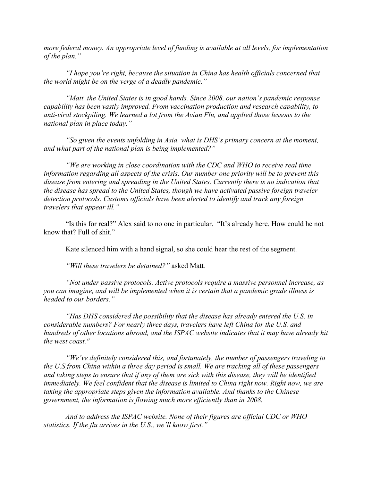*more federal money. An appropriate level of funding is available at all levels, for implementation of the plan."* 

*"I hope you're right, because the situation in China has health officials concerned that the world might be on the verge of a deadly pandemic."* 

*"Matt, the United States is in good hands. Since 2008, our nation's pandemic response capability has been vastly improved. From vaccination production and research capability, to anti-viral stockpiling. We learned a lot from the Avian Flu, and applied those lessons to the national plan in place today."* 

*"So given the events unfolding in Asia, what is DHS's primary concern at the moment, and what part of the national plan is being implemented?"* 

*"We are working in close coordination with the CDC and WHO to receive real time information regarding all aspects of the crisis. Our number one priority will be to prevent this disease from entering and spreading in the United States. Currently there is no indication that the disease has spread to the United States, though we have activated passive foreign traveler detection protocols. Customs officials have been alerted to identify and track any foreign travelers that appear ill."* 

"Is this for real?" Alex said to no one in particular. "It's already here. How could he not know that? Full of shit."

Kate silenced him with a hand signal, so she could hear the rest of the segment.

*"Will these travelers be detained?"* asked Matt*.* 

*"Not under passive protocols. Active protocols require a massive personnel increase, as you can imagine, and will be implemented when it is certain that a pandemic grade illness is headed to our borders."* 

*"Has DHS considered the possibility that the disease has already entered the U.S. in considerable numbers? For nearly three days, travelers have left China for the U.S. and hundreds of other locations abroad, and the ISPAC website indicates that it may have already hit the west coast."* 

*"We've definitely considered this, and fortunately, the number of passengers traveling to the U.S from China within a three day period is small. We are tracking all of these passengers and taking steps to ensure that if any of them are sick with this disease, they will be identified immediately. We feel confident that the disease is limited to China right now. Right now, we are taking the appropriate steps given the information available. And thanks to the Chinese government, the information is flowing much more efficiently than in 2008.* 

*And to address the ISPAC website. None of their figures are official CDC or WHO statistics. If the flu arrives in the U.S., we'll know first."*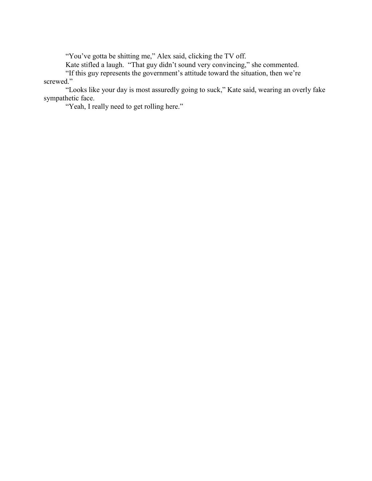"You've gotta be shitting me," Alex said, clicking the TV off.

Kate stifled a laugh. "That guy didn't sound very convincing," she commented.

"If this guy represents the government's attitude toward the situation, then we're screwed."

"Looks like your day is most assuredly going to suck," Kate said, wearing an overly fake sympathetic face.

"Yeah, I really need to get rolling here."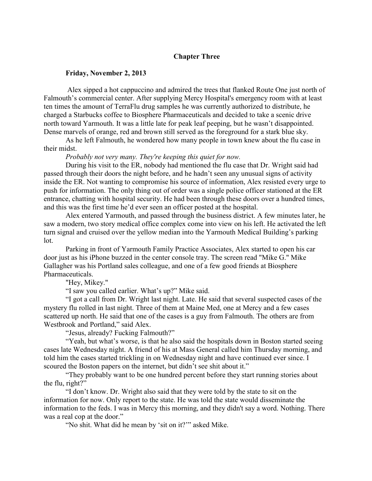## **Chapter Three**

#### **Friday, November 2, 2013**

 Alex sipped a hot cappuccino and admired the trees that flanked Route One just north of Falmouth's commercial center. After supplying Mercy Hospital's emergency room with at least ten times the amount of TerraFlu drug samples he was currently authorized to distribute, he charged a Starbucks coffee to Biosphere Pharmaceuticals and decided to take a scenic drive north toward Yarmouth. It was a little late for peak leaf peeping, but he wasn't disappointed. Dense marvels of orange, red and brown still served as the foreground for a stark blue sky.

As he left Falmouth, he wondered how many people in town knew about the flu case in their midst.

## *Probably not very many. They're keeping this quiet for now.*

During his visit to the ER, nobody had mentioned the flu case that Dr. Wright said had passed through their doors the night before, and he hadn't seen any unusual signs of activity inside the ER. Not wanting to compromise his source of information, Alex resisted every urge to push for information. The only thing out of order was a single police officer stationed at the ER entrance, chatting with hospital security. He had been through these doors over a hundred times, and this was the first time he'd ever seen an officer posted at the hospital.

Alex entered Yarmouth, and passed through the business district. A few minutes later, he saw a modern, two story medical office complex come into view on his left. He activated the left turn signal and cruised over the yellow median into the Yarmouth Medical Building's parking lot.

Parking in front of Yarmouth Family Practice Associates, Alex started to open his car door just as his iPhone buzzed in the center console tray. The screen read "Mike G." Mike Gallagher was his Portland sales colleague, and one of a few good friends at Biosphere Pharmaceuticals.

"Hey, Mikey."

"I saw you called earlier. What's up?" Mike said.

"I got a call from Dr. Wright last night. Late. He said that several suspected cases of the mystery flu rolled in last night. Three of them at Maine Med, one at Mercy and a few cases scattered up north. He said that one of the cases is a guy from Falmouth. The others are from Westbrook and Portland," said Alex.

"Jesus, already? Fucking Falmouth?"

"Yeah, but what's worse, is that he also said the hospitals down in Boston started seeing cases late Wednesday night. A friend of his at Mass General called him Thursday morning, and told him the cases started trickling in on Wednesday night and have continued ever since. I scoured the Boston papers on the internet, but didn't see shit about it."

"They probably want to be one hundred percent before they start running stories about the flu, right?"

"I don't know. Dr. Wright also said that they were told by the state to sit on the information for now. Only report to the state. He was told the state would disseminate the information to the feds. I was in Mercy this morning, and they didn't say a word. Nothing. There was a real cop at the door."

"No shit. What did he mean by 'sit on it?'" asked Mike.